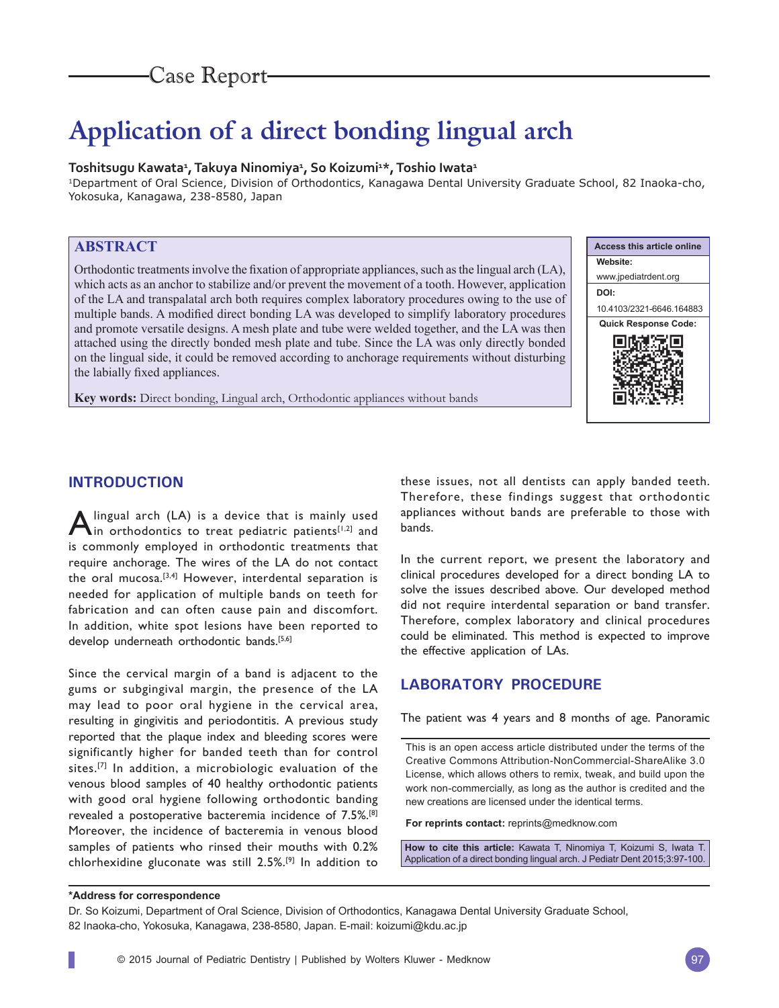# Case Report

# **Application of a direct bonding lingual arch**

#### **Toshitsugu Kawata1 , Takuya Ninomiya1 , So Koizumi1 \*, Toshio Iwata1**

1Department of Oral Science, Division of Orthodontics, Kanagawa Dental University Graduate School, 82 Inaoka-cho, Yokosuka, Kanagawa, 238-8580, Japan

# **ABSTRACT**

Orthodontic treatments involve the fixation of appropriate appliances, such as the lingual arch (LA), which acts as an anchor to stabilize and/or prevent the movement of a tooth. However, application of the LA and transpalatal arch both requires complex laboratory procedures owing to the use of multiple bands. A modified direct bonding LA was developed to simplify laboratory procedures and promote versatile designs. A mesh plate and tube were welded together, and the LA was then attached using the directly bonded mesh plate and tube. Since the LA was only directly bonded on the lingual side, it could be removed according to anchorage requirements without disturbing the labially fixed appliances.

**Key words:** Direct bonding, Lingual arch, Orthodontic appliances without bands



## **INTRODUCTION**

**A** lingual arch (LA) is a device that is mainly used in orthodontics to treat pediatric patients<sup>[1,2]</sup> and is commonly employed in orthodontic treatments that require anchorage. The wires of the LA do not contact the oral mucosa.[3,4] However, interdental separation is needed for application of multiple bands on teeth for fabrication and can often cause pain and discomfort. In addition, white spot lesions have been reported to develop underneath orthodontic bands.[5,6]

Since the cervical margin of a band is adjacent to the gums or subgingival margin, the presence of the LA may lead to poor oral hygiene in the cervical area, resulting in gingivitis and periodontitis. A previous study reported that the plaque index and bleeding scores were significantly higher for banded teeth than for control sites.<sup>[7]</sup> In addition, a microbiologic evaluation of the venous blood samples of 40 healthy orthodontic patients with good oral hygiene following orthodontic banding revealed a postoperative bacteremia incidence of 7.5%.[8] Moreover, the incidence of bacteremia in venous blood samples of patients who rinsed their mouths with 0.2% chlorhexidine gluconate was still 2.5%.[9] In addition to

these issues, not all dentists can apply banded teeth. Therefore, these findings suggest that orthodontic appliances without bands are preferable to those with bands.

In the current report, we present the laboratory and clinical procedures developed for a direct bonding LA to solve the issues described above. Our developed method did not require interdental separation or band transfer. Therefore, complex laboratory and clinical procedures could be eliminated. This method is expected to improve the effective application of LAs.

### **LABORATORY PROCEDURE**

The patient was 4 years and 8 months of age. Panoramic

This is an open access article distributed under the terms of the Creative Commons Attribution-NonCommercial-ShareAlike 3.0 License, which allows others to remix, tweak, and build upon the work non-commercially, as long as the author is credited and the new creations are licensed under the identical terms.

**For reprints contact:** reprints@medknow.com

**How to cite this article:** Kawata T, Ninomiya T, Koizumi S, Iwata T. Application of a direct bonding lingual arch. J Pediatr Dent 2015;3:97-100.

#### **\*Address for correspondence**

Dr. So Koizumi, Department of Oral Science, Division of Orthodontics, Kanagawa Dental University Graduate School, 82 Inaoka-cho, Yokosuka, Kanagawa, 238-8580, Japan. E-mail: koizumi@kdu.ac.jp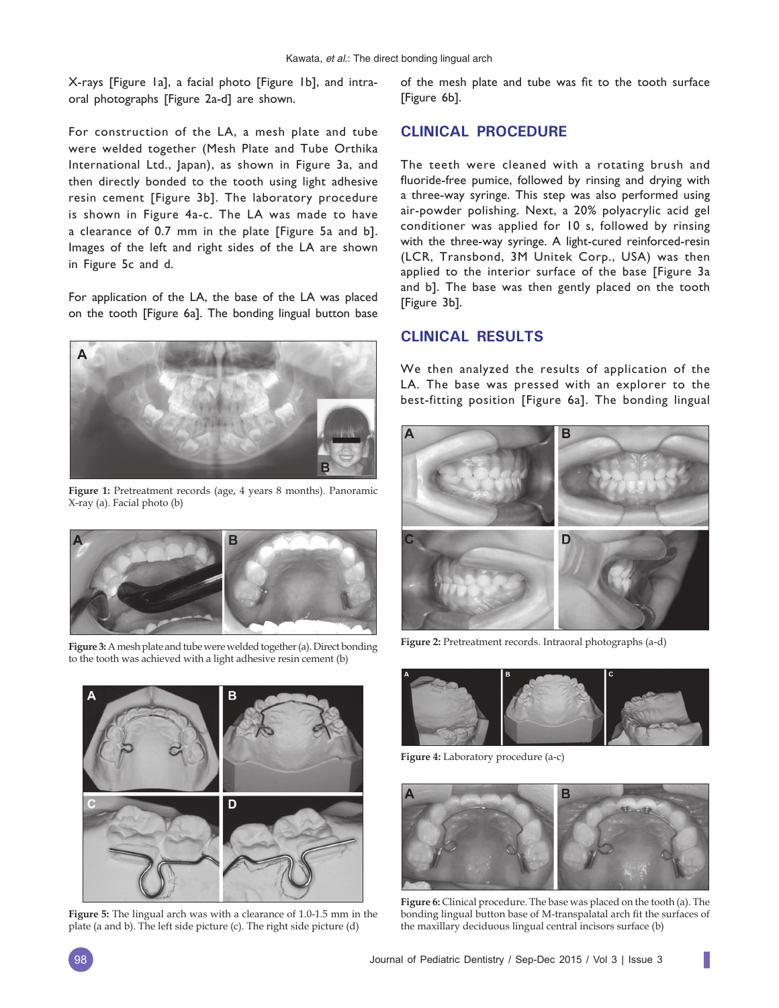X-rays [Figure 1a], a facial photo [Figure 1b], and intraoral photographs [Figure 2a-d] are shown.

For construction of the LA, a mesh plate and tube were welded together (Mesh Plate and Tube Orthika International Ltd., Japan), as shown in Figure 3a, and then directly bonded to the tooth using light adhesive resin cement [Figure 3b]. The laboratory procedure is shown in Figure 4a-c. The LA was made to have a clearance of 0.7 mm in the plate [Figure 5a and b]. Images of the left and right sides of the LA are shown in Figure 5c and d.

For application of the LA, the base of the LA was placed on the tooth [Figure 6a]. The bonding lingual button base



**Figure 1:** Pretreatment records (age, 4 years 8 months). Panoramic X-ray (a). Facial photo (b)



**Figure 2:** Pretreatment records. Intraoral photographs (a-d) **Figure 3:** A mesh plate and tube were welded together (a). Direct bonding to the tooth was achieved with a light adhesive resin cement (b)



**Figure 5:** The lingual arch was with a clearance of 1.0-1.5 mm in the plate (a and b). The left side picture (c). The right side picture (d)

of the mesh plate and tube was fit to the tooth surface [Figure 6b].

#### **CLINICAL PROCEDURE**

The teeth were cleaned with a rotating brush and fluoride-free pumice, followed by rinsing and drying with a three-way syringe. This step was also performed using air-powder polishing. Next, a 20% polyacrylic acid gel conditioner was applied for 10 s, followed by rinsing with the three-way syringe. A light-cured reinforced-resin (LCR, Transbond, 3M Unitek Corp., USA) was then applied to the interior surface of the base [Figure 3a and b]. The base was then gently placed on the tooth [Figure 3b].

#### **CLINICAL RESULTS**

We then analyzed the results of application of the LA. The base was pressed with an explorer to the best-fitting position [Figure 6a]. The bonding lingual





**Figure 4:** Laboratory procedure (a-c)



**Figure 6:** Clinical procedure. The base was placed on the tooth (a). The bonding lingual button base of M-transpalatal arch fit the surfaces of the maxillary deciduous lingual central incisors surface (b)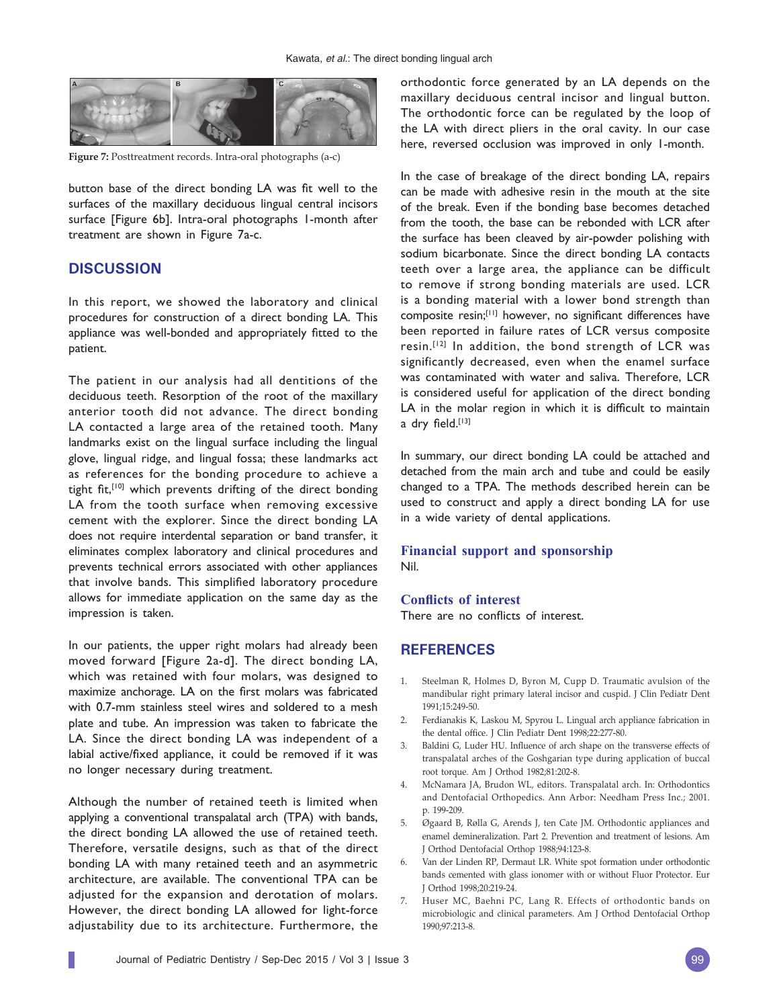

**Figure 7:** Posttreatment records. Intra-oral photographs (a-c)

button base of the direct bonding LA was fit well to the surfaces of the maxillary deciduous lingual central incisors surface [Figure 6b]. Intra-oral photographs 1-month after treatment are shown in Figure 7a-c.

#### **DISCUSSION**

In this report, we showed the laboratory and clinical procedures for construction of a direct bonding LA. This appliance was well-bonded and appropriately fitted to the patient.

The patient in our analysis had all dentitions of the deciduous teeth. Resorption of the root of the maxillary anterior tooth did not advance. The direct bonding LA contacted a large area of the retained tooth. Many landmarks exist on the lingual surface including the lingual glove, lingual ridge, and lingual fossa; these landmarks act as references for the bonding procedure to achieve a tight fit,<sup>[10]</sup> which prevents drifting of the direct bonding LA from the tooth surface when removing excessive cement with the explorer. Since the direct bonding LA does not require interdental separation or band transfer, it eliminates complex laboratory and clinical procedures and prevents technical errors associated with other appliances that involve bands. This simplified laboratory procedure allows for immediate application on the same day as the impression is taken.

In our patients, the upper right molars had already been moved forward [Figure 2a-d]. The direct bonding LA, which was retained with four molars, was designed to maximize anchorage. LA on the first molars was fabricated with 0.7-mm stainless steel wires and soldered to a mesh plate and tube. An impression was taken to fabricate the LA. Since the direct bonding LA was independent of a labial active/fixed appliance, it could be removed if it was no longer necessary during treatment.

Although the number of retained teeth is limited when applying a conventional transpalatal arch (TPA) with bands, the direct bonding LA allowed the use of retained teeth. Therefore, versatile designs, such as that of the direct bonding LA with many retained teeth and an asymmetric architecture, are available. The conventional TPA can be adjusted for the expansion and derotation of molars. However, the direct bonding LA allowed for light-force adjustability due to its architecture. Furthermore, the

orthodontic force generated by an LA depends on the maxillary deciduous central incisor and lingual button. The orthodontic force can be regulated by the loop of the LA with direct pliers in the oral cavity. In our case here, reversed occlusion was improved in only 1-month.

In the case of breakage of the direct bonding LA, repairs can be made with adhesive resin in the mouth at the site of the break. Even if the bonding base becomes detached from the tooth, the base can be rebonded with LCR after the surface has been cleaved by air-powder polishing with sodium bicarbonate. Since the direct bonding LA contacts teeth over a large area, the appliance can be difficult to remove if strong bonding materials are used. LCR is a bonding material with a lower bond strength than composite resin;<sup>[11]</sup> however, no significant differences have been reported in failure rates of LCR versus composite resin.[12] In addition, the bond strength of LCR was significantly decreased, even when the enamel surface was contaminated with water and saliva. Therefore, LCR is considered useful for application of the direct bonding LA in the molar region in which it is difficult to maintain a dry field. $[13]$ 

In summary, our direct bonding LA could be attached and detached from the main arch and tube and could be easily changed to a TPA. The methods described herein can be used to construct and apply a direct bonding LA for use in a wide variety of dental applications.

#### **Financial support and sponsorship** Nil.

#### **Conflicts of interest**

There are no conflicts of interest.

#### **REFERENCES**

- 1. Steelman R, Holmes D, Byron M, Cupp D. Traumatic avulsion of the mandibular right primary lateral incisor and cuspid. J Clin Pediatr Dent 1991;15:249-50.
- 2. Ferdianakis K, Laskou M, Spyrou L. Lingual arch appliance fabrication in the dental office. J Clin Pediatr Dent 1998;22:277-80.
- 3. Baldini G, Luder HU. Influence of arch shape on the transverse effects of transpalatal arches of the Goshgarian type during application of buccal root torque. Am J Orthod 1982;81:202-8.
- 4. McNamara JA, Brudon WL, editors. Transpalatal arch. In: Orthodontics and Dentofacial Orthopedics. Ann Arbor: Needham Press Inc.; 2001. p. 199-209.
- 5. Øgaard B, Rølla G, Arends J, ten Cate JM. Orthodontic appliances and enamel demineralization. Part 2. Prevention and treatment of lesions. Am J Orthod Dentofacial Orthop 1988;94:123-8.
- 6. Van der Linden RP, Dermaut LR. White spot formation under orthodontic bands cemented with glass ionomer with or without Fluor Protector. Eur J Orthod 1998;20:219-24.
- Huser MC, Baehni PC, Lang R. Effects of orthodontic bands on microbiologic and clinical parameters. Am J Orthod Dentofacial Orthop 1990;97:213-8.